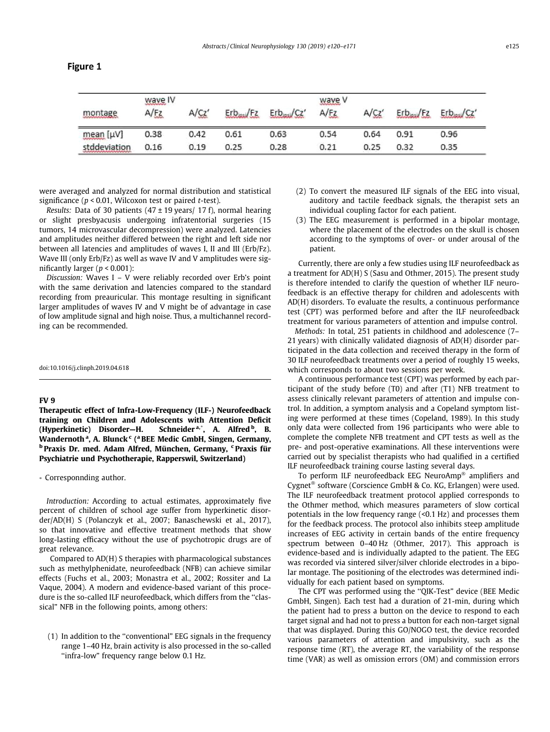| montage                                                                 | waye IV<br>A/FZ | A/CZ' | Erb <sub>asi</sub> /Ez | Erb <sub>insi</sub> /Cz' | <u>wave</u> v<br>A/Fz | A/CZ' | Erbasi/Ez | Erb <sub>hasi</sub> /Cz' |
|-------------------------------------------------------------------------|-----------------|-------|------------------------|--------------------------|-----------------------|-------|-----------|--------------------------|
| mean [µV]                                                               | 0.38            | 0.42  | 0.61                   | 0.63                     | 0.54                  | 0.64  | 0.91      | 0.96                     |
| stddeviation<br>which all all all all a substitute that a substitute of | 0.16            | 0.19  | 0.25.                  | 0.28                     | 0.21                  | 0.25  | 0.32      | 0.35                     |

were averaged and analyzed for normal distribution and statistical significance ( $p < 0.01$ , Wilcoxon test or paired t-test).

Results: Data of 30 patients  $(47 \pm 19 \text{ years})$  17 f), normal hearing or slight presbyacusis undergoing infratentorial surgeries (15 tumors, 14 microvascular decompression) were analyzed. Latencies and amplitudes neither differed between the right and left side nor between all latencies and amplitudes of waves I, II and III (Erb/Fz). Wave III (only Erb/Fz) as well as wave IV and V amplitudes were significantly larger ( $p < 0.001$ ):

Discussion: Waves I – V were reliably recorded over Erb's point with the same derivation and latencies compared to the standard recording from preauricular. This montage resulting in significant larger amplitudes of waves IV and V might be of advantage in case of low amplitude signal and high noise. Thus, a multichannel recording can be recommended.

doi:10.1016/j.clinph.2019.04.618

## FV 9

Therapeutic effect of Infra-Low-Frequency (ILF-) Neurofeedback training on Children and Adolescents with Attention Deficit (Hyperkinetic) Disorder-H. , A. Alfred <sup>b</sup>, B. Wandernoth<sup>a</sup>, A. Blunck<sup>c</sup> (<sup>a</sup> BEE Medic GmbH, Singen, Germany, <sup>b</sup> Praxis Dr. med. Adam Alfred, München, Germany, <sup>c</sup> Praxis für Psychiatrie und Psychotherapie, Rapperswil, Switzerland)

⇑ Corresponnding author.

Introduction: According to actual estimates, approximately five percent of children of school age suffer from hyperkinetic disorder/AD(H) S (Polanczyk et al., 2007; Banaschewski et al., 2017), so that innovative and effective treatment methods that show long-lasting efficacy without the use of psychotropic drugs are of great relevance.

Compared to AD(H) S therapies with pharmacological substances such as methylphenidate, neurofeedback (NFB) can achieve similar effects (Fuchs et al., 2003; Monastra et al., 2002; Rossiter and La Vaque, 2004). A modern and evidence-based variant of this procedure is the so-called ILF neurofeedback, which differs from the ''classical" NFB in the following points, among others:

(1) In addition to the ''conventional" EEG signals in the frequency range 1–40 Hz, brain activity is also processed in the so-called ''infra-low" frequency range below 0.1 Hz.

- (2) To convert the measured ILF signals of the EEG into visual, auditory and tactile feedback signals, the therapist sets an individual coupling factor for each patient.
- (3) The EEG measurement is performed in a bipolar montage, where the placement of the electrodes on the skull is chosen according to the symptoms of over- or under arousal of the patient.

Currently, there are only a few studies using ILF neurofeedback as a treatment for AD(H) S (Sasu and Othmer, 2015). The present study is therefore intended to clarify the question of whether ILF neurofeedback is an effective therapy for children and adolescents with AD(H) disorders. To evaluate the results, a continuous performance test (CPT) was performed before and after the ILF neurofeedback treatment for various parameters of attention and impulse control.

Methods: In total, 251 patients in childhood and adolescence (7– 21 years) with clinically validated diagnosis of AD(H) disorder participated in the data collection and received therapy in the form of 30 ILF neurofeedback treatments over a period of roughly 15 weeks, which corresponds to about two sessions per week.

A continuous performance test (CPT) was performed by each participant of the study before (T0) and after (T1) NFB treatment to assess clinically relevant parameters of attention and impulse control. In addition, a symptom analysis and a Copeland symptom listing were performed at these times (Copeland, 1989). In this study only data were collected from 196 participants who were able to complete the complete NFB treatment and CPT tests as well as the pre- and post-operative examinations. All these interventions were carried out by specialist therapists who had qualified in a certified ILF neurofeedback training course lasting several days.

To perform ILF neurofeedback EEG NeuroAmp<sup>®</sup> amplifiers and Cygnet<sup>®</sup> software (Corscience GmbH & Co. KG, Erlangen) were used. The ILF neurofeedback treatment protocol applied corresponds to the Othmer method, which measures parameters of slow cortical potentials in the low frequency range (<0.1 Hz) and processes them for the feedback process. The protocol also inhibits steep amplitude increases of EEG activity in certain bands of the entire frequency spectrum between 0–40 Hz (Othmer, 2017). This approach is evidence-based and is individually adapted to the patient. The EEG was recorded via sintered silver/silver chloride electrodes in a bipolar montage. The positioning of the electrodes was determined individually for each patient based on symptoms.

The CPT was performed using the ''QIK-Test" device (BEE Medic GmbH, Singen). Each test had a duration of 21-min, during which the patient had to press a button on the device to respond to each target signal and had not to press a button for each non-target signal that was displayed. During this GO/NOGO test, the device recorded various parameters of attention and impulsivity, such as the response time (RT), the average RT, the variability of the response time (VAR) as well as omission errors (OM) and commission errors